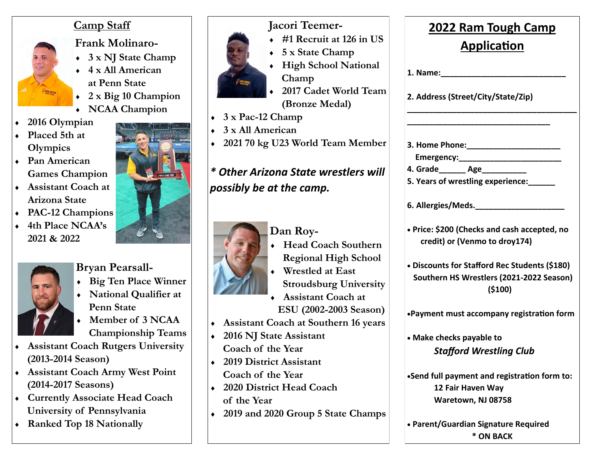## **Camp Staff**



**Frank Molinaro-**

- **3 x NJ State Champ**
- **4 x All American at Penn State**
- **2 x Big 10 Champion**
- **NCAA Champion**
- **2016 Olympian**
- **Placed 5th at Olympics**
- **Pan American Games Champion**
- **Assistant Coach at Arizona State**
- **PAC-12 Champions**
- **4th Place NCAA's 2021 & 2022**



**Bryan Pearsall-**

- **Big Ten Place Winner**
- **National Qualifier at Penn State**
- **Member of 3 NCAA Championship Teams**
- **Assistant Coach Rutgers University (2013-2014 Season)**
- **Assistant Coach Army West Point (2014-2017 Seasons)**
- **Currently Associate Head Coach University of Pennsylvania**
- **Ranked Top 18 Nationally**



- **#1 Recruit at 126 in US 5 x State Champ**
- **High School National Champ**
- **2017 Cadet World Team (Bronze Medal)**
- **3 x Pac-12 Champ**
- **3 x All American**
- **2021 70 kg U23 World Team Member**

# *\* Other Arizona State wrestlers will possibly be at the camp.*



- **Dan Roy- Head Coach Southern** 
	- **Regional High School**
- **Wrestled at East Stroudsburg University**
- **Assistant Coach at ESU (2002-2003 Season)**
- **Assistant Coach at Southern 16 years**
- **2016 NJ State Assistant Coach of the Year**
- **2019 District Assistant Coach of the Year**
- **2020 District Head Coach of the Year**
- **2019 and 2020 Group 5 State Champs**

| <b>2022 Ram Tough Camp</b><br><b>Application</b><br>1. Name:<br>2. Address (Street/City/State/Zip) |                                                                                                       |  |                                                                |
|----------------------------------------------------------------------------------------------------|-------------------------------------------------------------------------------------------------------|--|----------------------------------------------------------------|
|                                                                                                    |                                                                                                       |  | 3. Home Phone:_________________                                |
|                                                                                                    |                                                                                                       |  | Emergency:_____________                                        |
|                                                                                                    |                                                                                                       |  | 4. Grade________ Age_____<br>5. Years of wrestling experience: |
|                                                                                                    | 6. Allergies/Meds.                                                                                    |  |                                                                |
|                                                                                                    | • Price: \$200 (Checks and cash accepted, no<br>credit) or (Venmo to droy174)                         |  |                                                                |
|                                                                                                    | • Discounts for Stafford Rec Students (\$180)<br>Southern HS Wrestlers (2021-2022 Season)<br>( \$100) |  |                                                                |
|                                                                                                    | .Payment must accompany registration form                                                             |  |                                                                |
|                                                                                                    | • Make checks payable to<br><b>Stafford Wrestling Club</b>                                            |  |                                                                |
|                                                                                                    | •Send full payment and registration form to:<br>12 Fair Haven Way<br>Waretown, NJ 08758               |  |                                                                |

• **Parent/Guardian Signature Required \* ON BACK**